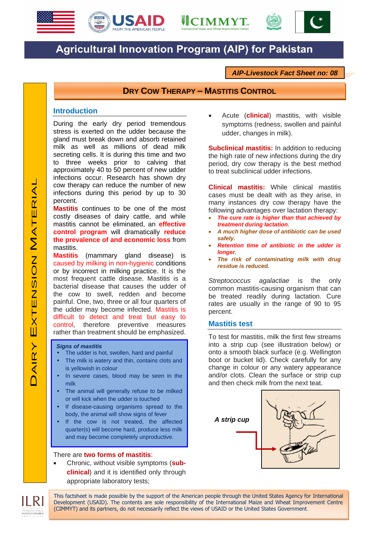





# **Agricultural Innovation Program (AIP) for Pakistan**

*AIP-Livestock Fact Sheet no: 08*

## **DRY COW THERAPY – MASTITIS CONTROL**

## **Introduction**

During the early dry period tremendous stress is exerted on the udder because the gland must break down and absorb retained milk as well as millions of dead milk secreting cells. It is during this time and two to three weeks prior to calving that approximately 40 to 50 percent of new udder infections occur. Research has shown dry cow therapy can reduce the number of new infections during this period by up to 30 percent.

**Mastitis** continues to be one of the most costly diseases of dairy cattle, and while mastitis cannot be eliminated, an **effective control program** will dramatically **reduce the prevalence of and economic loss** from mastitis.

**Mastitis** (mammary gland disease) is caused by milking in non-hygienic conditions or by incorrect in milking practice. It is the most frequent cattle disease. Mastitis is a bacterial disease that causes the udder of the cow to swell, redden and become painful. One, two, three or all four quarters of the udder may become infected. Mastitis is difficult to detect and treat but easy to control, therefore preventive measures rather than treatment should be emphasized.

#### *Signs of mastitis*

- The udder is hot, swollen, hard and painful
- The milk is watery and thin, contains clots and is yellowish in colour
- In severe cases, blood may be seen in the milk
- The animal will generally refuse to be milked or will kick when the udder is touched
- If disease-causing organisms spread to the body, the animal will show signs of fever
- If the cow is not treated, the affected quarter(s) will become hard, produce less milk and may become completely unproductive.

## There are **two forms of mastitis**:

 Chronic, without visible symptoms (**subclinical**) and it is identified only through appropriate laboratory tests;

 Acute (**clinical**) mastitis, with visible symptoms (redness, swollen and painful udder, changes in milk).

**Subclinical mastitis:** In addition to reducing the high rate of new infections during the dry period, dry cow therapy is the best method to treat subclinical udder infections.

**Clinical mastitis:** While clinical mastitis cases must be dealt with as they arise, in many instances dry cow therapy have the following advantages over lactation therapy:

- *The cure rate is higher than that achieved by treatment during lactation.*
- *A much higher dose of antibiotic can be used safely.*
- *Retention time of antibiotic in the udder is longer.*
- *The risk of contaminating milk with drug residue is reduced.*

*Streptococcus agalactiae* is the only common mastitis-causing organism that can be treated readily during lactation. Cure rates are usually in the range of 90 to 95 percent.

### **Mastitis test**

To test for mastitis, milk the first few streams into a strip cup (see illustration below) or onto a smooth black surface (e.g. Wellington boot or bucket lid). Check carefully for any change in colour or any watery appearance and/or clots. Clean the surface or strip cup and then check milk from the next teat.



This factsheet is made possible by the support of the American people through the United States Agency for International Development (USAID). The contents are sole responsibility of the International Maize and Wheat Improvement Centre (CIMMYT) and its partners, do not necessarily reflect the views of USAID or the United States Government.